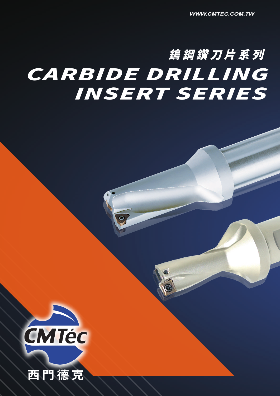# 鎢鋼鑽刀片系列 CARBIDE DRILLING INSERT SERIES



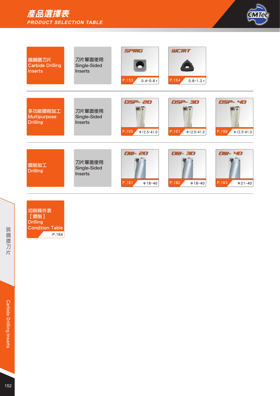# 產品選擇表 **PRODUCT SELECTION TABLE**



| 鎢鋼鑽刀片<br><b>Carbide Drilling</b><br><b>Inserts</b> | 刀片單面使用<br>Single-Sided<br><b>Inserts</b> | <b>SPMG</b><br>P.153<br>$0.4 - 0.8r$  | <b>WEMT</b><br>P.154<br>$0.8 - 1.2r$  |                                       |
|----------------------------------------------------|------------------------------------------|---------------------------------------|---------------------------------------|---------------------------------------|
|                                                    |                                          |                                       |                                       |                                       |
| 多功能鑽削加工<br>Multipurpose<br><b>Drilling</b>         | 刀片單面使用<br>Single-Sided<br><b>Inserts</b> | DSP- 2D<br>P.155<br>$\Phi$ 12.5~41.0  | DSP- 3D<br>P.157<br>$0.12.5 - 41.0$   | DSP-40<br>P.159<br>$0.12.5 - 41.0$    |
|                                                    |                                          |                                       |                                       |                                       |
| 鑽削加工<br><b>Drilling</b>                            | 刀片單面使用<br>Single-Sided<br><b>Inserts</b> | <b>DW-2D</b><br>P.161<br>$\Phi$ 18~40 | <b>DW-3D</b><br>P.162<br>$\Phi$ 18~40 | <b>DW-4D</b><br>P.163<br>$\Phi$ 21~40 |

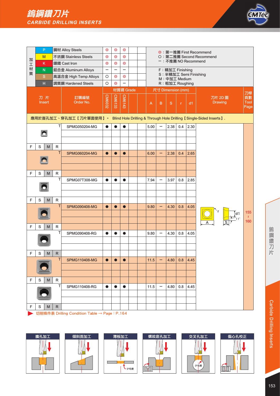

| 加<br>工 | M            | P<br>κ                 |                   | 鋼材 Alloy Steels<br>不銹鋼 Stainless Steels<br>鑄鐵 Cast Iron             | $\circledcirc$<br>$\circledcirc$<br>$\circledcirc$                                                                                                                                                 | $\circledcirc$<br>$\circledcirc$<br>$\circledcirc$ | $\circledcirc$<br>$\circledcirc$<br>$\circledcirc$ |  |  |      |   |                                                      |                           | ー: 不推薦 NO Recommend             | ◎:第一推薦 First Recommend<br>〇:第二推薦 Second Recommend |                      |
|--------|--------------|------------------------|-------------------|---------------------------------------------------------------------|----------------------------------------------------------------------------------------------------------------------------------------------------------------------------------------------------|----------------------------------------------------|----------------------------------------------------|--|--|------|---|------------------------------------------------------|---------------------------|---------------------------------|---------------------------------------------------|----------------------|
| 材<br>質 |              | N.<br>$\mathbf S$<br>H |                   | 鋁合金 Aluminum Alloys<br>高溫合金 High Temp Alloys<br>調質鋼 Hardened Steels | -<br>$\circ$<br>$\circ$                                                                                                                                                                            | -<br>$\circledcirc$<br>$\circledcirc$              | —<br>$\circledcirc$<br>-                           |  |  |      |   | F: 精加工 Finishing<br>M: 中加工 Medium<br>R: 粗加工 Roughing |                           |                                 | S: 半精加工 Semi Finishing                            |                      |
|        | 刀片<br>Insert |                        |                   | 訂購編號<br>Order No.                                                   | 材質碼 Grade<br>尺寸 Dimension (mm)<br>CM6143<br><b>CM6133</b><br><b>CIVI6032</b><br>$\mathsf B$<br>$\mathbf{s}$<br>d1<br>Α<br>r<br>Blind Hole Drilling & Through Hole Drilling 【Single-Sided Inserts】. |                                                    |                                                    |  |  |      |   |                                                      | 刀片 2D 圖<br><b>Drawing</b> | 刀桿<br>頁數<br><b>Tool</b><br>Page |                                                   |                      |
|        |              |                        | т                 | 應用於盲孔加工、穿孔加工【刀片單面使用】。                                               |                                                                                                                                                                                                    |                                                    |                                                    |  |  |      |   |                                                      |                           |                                 |                                                   |                      |
|        |              |                        |                   | SPMG050204-MG                                                       | $\bullet$                                                                                                                                                                                          | $\bullet$                                          | $\bullet$                                          |  |  | 5.00 | — | 2.38                                                 | 0.4                       | 2.30                            |                                                   |                      |
|        |              |                        |                   |                                                                     |                                                                                                                                                                                                    |                                                    |                                                    |  |  |      |   |                                                      |                           |                                 |                                                   |                      |
| F      | S            | M                      | R                 |                                                                     |                                                                                                                                                                                                    |                                                    |                                                    |  |  |      |   |                                                      |                           |                                 |                                                   |                      |
|        |              |                        | $\sf T$           | SPMG060204-MG                                                       | $\bullet$                                                                                                                                                                                          |                                                    | $\bullet$                                          |  |  | 6.00 |   | 2.38                                                 | 0.4                       | 2.65                            |                                                   |                      |
|        |              |                        |                   |                                                                     |                                                                                                                                                                                                    |                                                    |                                                    |  |  |      |   |                                                      |                           |                                 |                                                   |                      |
| F      | S            | M                      | R                 |                                                                     |                                                                                                                                                                                                    |                                                    |                                                    |  |  |      |   |                                                      |                           |                                 |                                                   |                      |
|        |              |                        | T                 | SPMG07T308-MG                                                       | $\bullet$                                                                                                                                                                                          | $\bullet$                                          | $\bullet$                                          |  |  | 7.94 | - | 3.97                                                 | 0.8                       | 2.85                            |                                                   |                      |
| F      | S            | M                      | R                 |                                                                     |                                                                                                                                                                                                    |                                                    |                                                    |  |  |      |   |                                                      |                           |                                 |                                                   |                      |
|        |              |                        | T                 | <b>SPMG090408-MG</b>                                                | $\bullet$                                                                                                                                                                                          |                                                    | $\bullet$                                          |  |  | 9.80 | - | 4.30                                                 | 0.8                       | 4.05                            |                                                   | 155<br>$\mathcal{U}$ |
| F      | S            | M                      | R                 |                                                                     |                                                                                                                                                                                                    |                                                    |                                                    |  |  |      |   |                                                      |                           |                                 |                                                   | 160                  |
|        |              |                        | $\top$            | SPMG090408-RG                                                       | $\bullet$                                                                                                                                                                                          | ●                                                  | $\bullet$                                          |  |  | 9.80 | - | 4.30                                                 | 0.8                       | 4.05                            |                                                   |                      |
|        |              |                        |                   |                                                                     |                                                                                                                                                                                                    |                                                    |                                                    |  |  |      |   |                                                      |                           |                                 |                                                   |                      |
|        |              |                        |                   |                                                                     |                                                                                                                                                                                                    |                                                    |                                                    |  |  |      |   |                                                      |                           |                                 |                                                   |                      |
| F      | S            | M                      | $\mathsf{R}$<br>T | <b>SPMG110408-MG</b>                                                | $\bullet$                                                                                                                                                                                          | $\bullet$                                          | $\bullet$                                          |  |  | 11.5 | - | 4.80                                                 | 0.8                       | 4.45                            |                                                   |                      |
|        |              |                        |                   |                                                                     |                                                                                                                                                                                                    |                                                    |                                                    |  |  |      |   |                                                      |                           |                                 |                                                   |                      |
|        |              |                        |                   |                                                                     |                                                                                                                                                                                                    |                                                    |                                                    |  |  |      |   |                                                      |                           |                                 |                                                   |                      |
| F      | S            | M                      | R                 |                                                                     |                                                                                                                                                                                                    |                                                    |                                                    |  |  |      |   |                                                      |                           |                                 |                                                   |                      |
|        |              |                        | T                 | SPMG110408-RG                                                       | $\bullet$                                                                                                                                                                                          | $\bullet$                                          | $\bullet$                                          |  |  | 11.5 | - | 4.80                                                 | 0.8                       | 4.45                            |                                                   |                      |
|        |              |                        |                   |                                                                     |                                                                                                                                                                                                    |                                                    |                                                    |  |  |      |   |                                                      |                           |                                 |                                                   |                      |
| F      | S            | M                      | $\mathsf{R}$      |                                                                     |                                                                                                                                                                                                    |                                                    |                                                    |  |  |      |   |                                                      |                           |                                 |                                                   |                      |

→ 切削條件表 Drilling Condition Table → Page: P.164











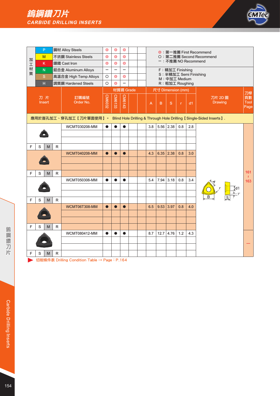# 鎢鋼鑽刀片 **CARBIDE DRILLING INSERTS**



|        |   | P            |              | 鋼材 Alloy Steels                                                                                                                                                                                                                                                                       | $\circledcirc$ | $\circledcirc$                                                  | $\circledcirc$ |  |  |     |      |                           |                    |     | ◎:第一推薦 First Recommend                                              |                      |  |  |  |
|--------|---|--------------|--------------|---------------------------------------------------------------------------------------------------------------------------------------------------------------------------------------------------------------------------------------------------------------------------------------|----------------|-----------------------------------------------------------------|----------------|--|--|-----|------|---------------------------|--------------------|-----|---------------------------------------------------------------------|----------------------|--|--|--|
| 加      |   | M            |              | 不銹鋼 Stainless Steels                                                                                                                                                                                                                                                                  | $\circledcirc$ | $\circledcirc$                                                  | $\circledcirc$ |  |  |     |      |                           |                    |     | O: 第二推薦 Second Recommend                                            |                      |  |  |  |
| 工      |   | K            |              | 鑄鐵 Cast Iron                                                                                                                                                                                                                                                                          | $\circledcirc$ | $\circledcirc$                                                  | $\circledcirc$ |  |  |     |      |                           |                    |     | ー:不推薦 NO Recommend                                                  |                      |  |  |  |
| 材<br>質 |   | ${\sf N}$    |              | F: 精加工 Finishing<br>鋁合金 Aluminum Alloys<br>—<br>$\overline{\phantom{0}}$<br>$\overline{\phantom{0}}$<br>S: 半精加工 Semi Finishing<br>$\circ$<br>$\circledcirc$<br>$\circledcirc$<br>M: 中加工 Medium<br>$\circ$<br>$\circledcirc$<br>R: 粗加工 Roughing<br>-<br>材質碼 Grade<br>尺寸 Dimension (mm) |                |                                                                 |                |  |  |     |      |                           |                    |     |                                                                     |                      |  |  |  |
|        |   | S            |              | 高溫合金 High Temp Alloys                                                                                                                                                                                                                                                                 |                |                                                                 |                |  |  |     |      |                           |                    |     |                                                                     |                      |  |  |  |
|        |   | H            |              | 調質鋼 Hardened Steels                                                                                                                                                                                                                                                                   |                |                                                                 |                |  |  |     |      |                           |                    |     |                                                                     |                      |  |  |  |
|        |   |              |              |                                                                                                                                                                                                                                                                                       |                |                                                                 |                |  |  |     |      |                           |                    |     |                                                                     | 刀桿                   |  |  |  |
|        |   | 刀片<br>Insert |              | 訂購編號<br>Order No.                                                                                                                                                                                                                                                                     | <b>CM6032</b>  | CM6143<br>CM6133<br>$\mathsf B$<br>$\mathbf{s}$<br>d1<br>A<br>r |                |  |  |     |      | 刀片 2D 圖<br><b>Drawing</b> | 頁數<br>Tool<br>Page |     |                                                                     |                      |  |  |  |
|        |   |              |              | 應用於盲孔加工、穿孔加工【刀片單面使用】。                                                                                                                                                                                                                                                                 |                |                                                                 |                |  |  |     |      |                           |                    |     | Blind Hole Drilling & Through Hole Drilling 【Single-Sided Inserts】. |                      |  |  |  |
|        |   |              |              | <b>WCMT030208-MM</b>                                                                                                                                                                                                                                                                  | $\bullet$      | $\bullet$                                                       | $\bullet$      |  |  | 3.8 | 5.56 | 2.38                      | 0.8                | 2.8 |                                                                     |                      |  |  |  |
|        |   |              |              |                                                                                                                                                                                                                                                                                       |                |                                                                 |                |  |  |     |      |                           |                    |     |                                                                     |                      |  |  |  |
|        |   |              |              |                                                                                                                                                                                                                                                                                       |                |                                                                 |                |  |  |     |      |                           |                    |     |                                                                     |                      |  |  |  |
| F      | S | M            | $\mathsf{R}$ |                                                                                                                                                                                                                                                                                       |                |                                                                 |                |  |  |     |      |                           |                    |     |                                                                     |                      |  |  |  |
|        |   |              |              | <b>WCMT040208-MM</b>                                                                                                                                                                                                                                                                  | $\bullet$      | $\bullet$                                                       | $\bullet$      |  |  | 4.3 | 6.35 | 2.38                      | 0.8                | 3.0 |                                                                     |                      |  |  |  |
|        |   |              |              |                                                                                                                                                                                                                                                                                       |                |                                                                 |                |  |  |     |      |                           |                    |     |                                                                     |                      |  |  |  |
|        |   |              |              |                                                                                                                                                                                                                                                                                       |                |                                                                 |                |  |  |     |      |                           |                    |     |                                                                     |                      |  |  |  |
| F      | S | M            | R            |                                                                                                                                                                                                                                                                                       |                |                                                                 |                |  |  |     |      |                           |                    |     |                                                                     | 161<br>$\mathcal{U}$ |  |  |  |
|        |   |              |              | WCMT050308-MM                                                                                                                                                                                                                                                                         | $\bullet$      | $\bullet$                                                       | $\bullet$      |  |  | 5.4 | 7.94 | 3.18                      | 0.8                | 3.4 |                                                                     | 163                  |  |  |  |
|        |   |              |              |                                                                                                                                                                                                                                                                                       |                |                                                                 |                |  |  |     |      |                           |                    |     |                                                                     |                      |  |  |  |
|        |   |              |              |                                                                                                                                                                                                                                                                                       |                |                                                                 |                |  |  |     |      |                           |                    |     |                                                                     |                      |  |  |  |
| F      | S | M            | R.           |                                                                                                                                                                                                                                                                                       |                |                                                                 |                |  |  |     |      |                           |                    |     |                                                                     |                      |  |  |  |
|        |   |              |              | WCMT06T308-MM                                                                                                                                                                                                                                                                         | $\bullet$      |                                                                 | $\bullet$      |  |  | 6.5 | 9.53 | 3.97                      | 0.8                | 4.0 |                                                                     |                      |  |  |  |
|        |   |              |              |                                                                                                                                                                                                                                                                                       |                |                                                                 |                |  |  |     |      |                           |                    |     |                                                                     |                      |  |  |  |
| F      | S |              | $\mathsf R$  |                                                                                                                                                                                                                                                                                       |                |                                                                 |                |  |  |     |      |                           |                    |     |                                                                     |                      |  |  |  |
|        |   | M            |              | 4.76<br>1.2<br><b>WCMT080412-MM</b><br>8.7<br>12.7<br>4.3<br>$\bullet$<br>$\bullet$                                                                                                                                                                                                   |                |                                                                 |                |  |  |     |      |                           |                    |     |                                                                     |                      |  |  |  |
|        |   |              |              |                                                                                                                                                                                                                                                                                       |                |                                                                 |                |  |  |     |      |                           |                    |     |                                                                     |                      |  |  |  |
|        |   |              |              |                                                                                                                                                                                                                                                                                       |                |                                                                 |                |  |  |     |      |                           |                    |     |                                                                     |                      |  |  |  |
| F      | S | M            | R            |                                                                                                                                                                                                                                                                                       |                |                                                                 |                |  |  |     |      |                           |                    |     |                                                                     |                      |  |  |  |
|        |   |              |              |                                                                                                                                                                                                                                                                                       |                |                                                                 |                |  |  |     |      |                           |                    |     |                                                                     |                      |  |  |  |

→ 切削條件表 Drilling Condition Table → Page: P.164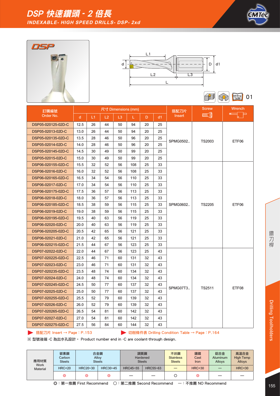







Milling 01 **SRD** 

| 訂購編號               |              |    |    | 尺寸 Dimensions (mm) |     |    |    | 搭配刀片     | <b>Screw</b>    | <b>Wrench</b> |
|--------------------|--------------|----|----|--------------------|-----|----|----|----------|-----------------|---------------|
| Order No.          | $\mathsf{d}$ | L1 | L2 | L <sub>3</sub>     | L.  | D. | d1 | Insert   | <b>MINITARY</b> |               |
| DSP05-020125-02D-C | 12.5         | 26 | 44 | 50                 | 94  | 20 | 25 |          |                 |               |
| DSP05-02013-02D-C  | 13.0         | 26 | 44 | 50                 | 94  | 20 | 25 |          |                 |               |
| DSP05-020135-02D-C | 13.5         | 28 | 46 | 50                 | 96  | 20 | 25 | SPMG0502 | TS2003          | ETF06         |
| DSP05-02014-02D-C  | 14.0         | 28 | 46 | 50                 | 96  | 20 | 25 |          |                 |               |
| DSP05-020145-02D-C | 14.5         | 30 | 49 | 50                 | 99  | 20 | 25 |          |                 |               |
| DSP05-02015-02D-C  | 15.0         | 30 | 49 | 50                 | 99  | 20 | 25 |          |                 |               |
| DSP06-020155-02D-C | 15.5         | 32 | 52 | 56                 | 108 | 25 | 33 |          |                 |               |
| DSP06-02016-02D-C  | 16.0         | 32 | 52 | 56                 | 108 | 25 | 33 |          |                 |               |
| DSP06-020165-02D-C | 16.5         | 34 | 54 | 56                 | 110 | 25 | 33 |          |                 |               |
| DSP06-02017-02D-C  | 17.0         | 34 | 54 | 56                 | 110 | 25 | 33 |          |                 |               |
| DSP06-020175-02D-C | 17.5         | 36 | 57 | 56                 | 113 | 25 | 33 |          |                 |               |
| DSP06-02018-02D-C  | 18.0         | 36 | 57 | 56                 | 113 | 25 | 33 |          |                 |               |
| DSP06-020185-02D-C | 18.5         | 38 | 59 | 56                 | 115 | 25 | 33 | SPMG0602 | <b>TS2205</b>   | ETF06         |
| DSP06-02019-02D-C  | 19.0         | 38 | 59 | 56                 | 115 | 25 | 33 |          |                 |               |
| DSP06-020195-02D-C | 19.5         | 40 | 63 | 56                 | 119 | 25 | 33 |          |                 |               |
| DSP06-02020-02D-C  | 20.0         | 40 | 63 | 56                 | 119 | 25 | 33 |          |                 |               |
| DSP06-020205-02D-C | 20.5         | 42 | 65 | 56                 | 121 | 25 | 33 |          |                 |               |
| DSP06-02021-02D-C  | 21.0         | 42 | 65 | 56                 | 121 | 25 | 33 |          |                 |               |
| DSP06-020215-02D-C | 21.5         | 44 | 67 | 56                 | 123 | 25 | 33 |          |                 |               |
| DSP07-02022-02D-C  | 22.0         | 44 | 67 | 56                 | 123 | 25 | 43 |          |                 |               |
| DSP07-020225-02D-C | 22.5         | 46 | 71 | 60                 | 131 | 32 | 43 |          |                 |               |
| DSP07-02023-02D-C  | 23.0         | 46 | 71 | 60                 | 131 | 32 | 43 |          |                 |               |
| DSP07-020235-02D-C | 23.5         | 48 | 74 | 60                 | 134 | 32 | 43 |          |                 |               |
| DSP07-02024-02D-C  | 24.0         | 48 | 74 | 60                 | 134 | 32 | 43 |          |                 |               |
| DSP07-020245-02D-C | 24.5         | 50 | 77 | 60                 | 137 | 32 | 43 | SPMG07T3 | TS2511          | ETF08         |
| DSP07-02025-02D-C  | 25.0         | 50 | 77 | 60                 | 137 | 32 | 43 |          |                 |               |
| DSP07-020255-02D-C | 25.5         | 52 | 79 | 60                 | 139 | 32 | 43 |          |                 |               |
| DSP07-02026-02D-C  | 26.0         | 52 | 79 | 60                 | 139 | 32 | 43 |          |                 |               |
| DSP07-020265-02D-C | 26.5         | 54 | 81 | 60                 | 142 | 32 | 43 |          |                 |               |
| DSP07-02027-02D-C  | 27.0         | 54 | 81 | 60                 | 142 | 32 | 43 |          |                 |               |
| DSP07-020275-02D-C | 27.5         | 56 | 84 | 60                 | 144 | 32 | 43 |          |                 |               |

**▶ 搭配刀片 Insert → Page: P.153 <br>
■ 动削條件表 Drilling Condition Table → Page: P.164** 

| 應用材質<br><b>Work</b> | 碳素鋼<br>Carbon<br><b>Steels</b> | 合金鋼      | Alloy<br><b>Steels</b> |          | 調質鋼<br>Hardened<br><b>Steels</b> | 不銹鋼<br><b>Stainless</b><br><b>Steels</b> | 鑄鐵<br>Cast<br><b>Iron</b> | 鋁合金<br><b>Aluminum</b><br>Alloys | 高溫合金<br><b>High Temp</b><br><b>Alloys</b> |
|---------------------|--------------------------------|----------|------------------------|----------|----------------------------------|------------------------------------------|---------------------------|----------------------------------|-------------------------------------------|
| <b>Material</b>     | <b>HRC&lt;20</b>               | HRC20~30 | HRC30~45               | HRC45~55 | HRC55~63                         |                                          | <b>HRC&lt;30</b>          |                                  | <b>HRC&lt;30</b>                          |
|                     | ⊚                              | ⊚        | ⊚                      |          |                                  |                                          | ⊚                         |                                  |                                           |
|                     | ◎:第一推薦 First Recommend         |          |                        |          | 〇:第二推薦 Second Recommend          |                                          | 一:不推薦 NO Recommend        |                                  |                                           |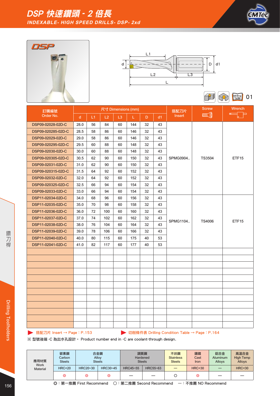







 $\bigcap$ Table 01

| 訂購編號               |      |    |     | 尺寸 Dimensions (mm) |     |    |    | 搭配刀片     | <b>Screw</b>  | Wrench            |
|--------------------|------|----|-----|--------------------|-----|----|----|----------|---------------|-------------------|
| Order No.          | d    | L1 | L2  | L3                 | L.  | D. | d1 | Insert   | <b>FINDER</b> | F                 |
| DSP09-02028-02D-C  | 28.0 | 56 | 84  | 60                 | 144 | 32 | 43 |          |               |                   |
| DSP09-020285-02D-C | 28.5 | 58 | 86  | 60                 | 146 | 32 | 43 |          |               |                   |
| DSP09-02029-02D-C  | 29.0 | 58 | 86  | 60                 | 146 | 32 | 43 |          |               |                   |
| DSP09-020295-02D-C | 29.5 | 60 | 88  | 60                 | 148 | 32 | 43 |          |               |                   |
| DSP09-02030-02D-C  | 30.0 | 60 | 88  | 60                 | 148 | 32 | 43 |          |               |                   |
| DSP09-020305-02D-C | 30.5 | 62 | 90  | 60                 | 150 | 32 | 43 | SPMG0904 | <b>TS3504</b> | ETF <sub>15</sub> |
| DSP09-02031-02D-C  | 31.0 | 62 | 90  | 60                 | 150 | 32 | 43 |          |               |                   |
| DSP09-020315-02D-C | 31.5 | 64 | 92  | 60                 | 152 | 32 | 43 |          |               |                   |
| DSP09-02032-02D-C  | 32.0 | 64 | 92  | 60                 | 152 | 32 | 43 |          |               |                   |
| DSP09-020325-02D-C | 32.5 | 66 | 94  | 60                 | 154 | 32 | 43 |          |               |                   |
| DSP09-02033-02D-C  | 33.0 | 66 | 94  | 60                 | 154 | 32 | 43 |          |               |                   |
| DSP11-02034-02D-C  | 34.0 | 68 | 96  | 60                 | 156 | 32 | 43 |          |               |                   |
| DSP11-02035-02D-C  | 35.0 | 70 | 98  | 60                 | 158 | 32 | 43 |          |               |                   |
| DSP11-02036-02D-C  | 36.0 | 72 | 100 | 60                 | 160 | 32 | 43 |          |               |                   |
| DSP11-02037-02D-C  | 37.0 | 74 | 102 | 60                 | 162 | 32 | 43 | SPMG1104 | <b>TS4006</b> | ETF <sub>15</sub> |
| DSP11-02038-02D-C  | 38.0 | 76 | 104 | 60                 | 164 | 32 | 43 |          |               |                   |
| DSP11-02039-02D-C  | 39.0 | 78 | 106 | 60                 | 166 | 32 | 43 |          |               |                   |
| DSP11-02040-02D-C  | 40.0 | 80 | 115 | 60                 | 175 | 40 | 53 |          |               |                   |
| DSP11-02041-02D-C  | 41.0 | 82 | 117 | 60                 | 177 | 40 | 53 |          |               |                   |
|                    |      |    |     |                    |     |    |    |          |               |                   |
|                    |      |    |     |                    |     |    |    |          |               |                   |
|                    |      |    |     |                    |     |    |    |          |               |                   |
|                    |      |    |     |                    |     |    |    |          |               |                   |
|                    |      |    |     |                    |     |    |    |          |               |                   |
|                    |      |    |     |                    |     |    |    |          |               |                   |
|                    |      |    |     |                    |     |    |    |          |               |                   |
|                    |      |    |     |                    |     |    |    |          |               |                   |
|                    |      |    |     |                    |     |    |    |          |               |                   |
|                    |      |    |     |                    |     |    |    |          |               |                   |
|                    |      |    |     |                    |     |    |    |          |               |                   |
|                    |      |    |     |                    |     |    |    |          |               |                   |

**▶ 搭配刀片 Insert → Page: P.153 <br>
■ 切削條件表 Drilling Condition Table → Page: P.164** 

| 應用材質<br><b>Work</b> | 碳素鋼<br>Carbon<br><b>Steels</b> | 合金鋼<br>Alloy | <b>Steels</b> | 調質鋼<br>Hardened | <b>Steels</b> | 不銹鋼<br><b>Stainless</b><br><b>Steels</b> | 鑄鐵<br>Cast<br>Iron | 鋁合金<br>Aluminum<br>Alloys | 高溫合金<br><b>High Temp</b><br><b>Alloys</b> |
|---------------------|--------------------------------|--------------|---------------|-----------------|---------------|------------------------------------------|--------------------|---------------------------|-------------------------------------------|
| <b>Material</b>     | <b>HRC&lt;20</b>               | HRC20~30     | HRC30~45      | HRC45~55        | HRC55~63      |                                          | <b>HRC&lt;30</b>   |                           | <b>HRC&lt;30</b>                          |
|                     | ⊚                              | ⊚            | ⊚             |                 | _             |                                          | ◎                  |                           |                                           |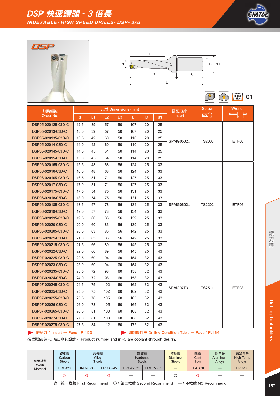







Milling 01 **SRD** 

| 訂購編號               |              |    |     | 尺寸 Dimensions (mm) |     |    |    | 搭配刀片          | <b>Screw</b>    | Wrench |
|--------------------|--------------|----|-----|--------------------|-----|----|----|---------------|-----------------|--------|
| Order No.          | <sub>d</sub> | L1 | L2  | L3                 | L.  | D. | d1 | <b>Insert</b> | <b>MINITARY</b> |        |
| DSP05-020125-03D-C | 12.5         | 39 | 57  | 50                 | 107 | 20 | 25 |               |                 |        |
| DSP05-02013-03D-C  | 13.0         | 39 | 57  | 50                 | 107 | 20 | 25 |               |                 |        |
| DSP05-020135-03D-C | 13.5         | 42 | 60  | 50                 | 110 | 20 | 25 | SPMG0502      | <b>TS2003</b>   | ETF06  |
| DSP05-02014-03D-C  | 14.0         | 42 | 60  | 50                 | 110 | 20 | 25 |               |                 |        |
| DSP05-020145-03D-C | 14.5         | 45 | 64  | 50                 | 114 | 20 | 25 |               |                 |        |
| DSP05-02015-03D-C  | 15.0         | 45 | 64  | 50                 | 114 | 20 | 25 |               |                 |        |
| DSP06-020155-03D-C | 15.5         | 48 | 68  | 56                 | 124 | 25 | 33 |               |                 |        |
| DSP06-02016-03D-C  | 16.0         | 48 | 68  | 56                 | 124 | 25 | 33 |               |                 |        |
| DSP06-020165-03D-C | 16.5         | 51 | 71  | 56                 | 127 | 25 | 33 |               |                 |        |
| DSP06-02017-03D-C  | 17.0         | 51 | 71  | 56                 | 127 | 25 | 33 |               |                 |        |
| DSP06-020175-03D-C | 17.5         | 54 | 75  | 56                 | 131 | 25 | 33 |               |                 |        |
| DSP06-02018-03D-C  | 18.0         | 54 | 75  | 56                 | 131 | 25 | 33 |               |                 |        |
| DSP06-020185-03D-C | 18.5         | 57 | 78  | 56                 | 134 | 25 | 33 | SPMG0602      | <b>TS2202</b>   | ETF06  |
| DSP06-02019-03D-C  | 19.0         | 57 | 78  | 56                 | 134 | 25 | 33 |               |                 |        |
| DSP06-020195-03D-C | 19.5         | 60 | 83  | 56                 | 139 | 25 | 33 |               |                 |        |
| DSP06-02020-03D-C  | 20.0         | 60 | 83  | 56                 | 139 | 25 | 33 |               |                 |        |
| DSP06-020205-03D-C | 20.5         | 63 | 86  | 56                 | 142 | 25 | 33 |               |                 |        |
| DSP06-02021-03D-C  | 21.0         | 63 | 86  | 56                 | 142 | 25 | 33 |               |                 |        |
| DSP06-020215-03D-C | 21.5         | 66 | 89  | 56                 | 145 | 25 | 33 |               |                 |        |
| DSP07-02022-03D-C  | 22.0         | 66 | 89  | 56                 | 145 | 25 | 43 |               |                 |        |
| DSP07-020225-03D-C | 22.5         | 69 | 94  | 60                 | 154 | 32 | 43 |               |                 |        |
| DSP07-02023-03D-C  | 23.0         | 69 | 94  | 60                 | 154 | 32 | 43 |               |                 |        |
| DSP07-020235-03D-C | 23.5         | 72 | 98  | 60                 | 158 | 32 | 43 |               |                 |        |
| DSP07-02024-03D-C  | 24.0         | 72 | 98  | 60                 | 158 | 32 | 43 |               |                 |        |
| DSP07-020245-03D-C | 24.5         | 75 | 102 | 60                 | 162 | 32 | 43 | SPMG07T3      | TS2511          | ETF08  |
| DSP07-02025-03D-C  | 25.0         | 75 | 102 | 60                 | 162 | 32 | 43 |               |                 |        |
| DSP07-020255-03D-C | 25.5         | 78 | 105 | 60                 | 165 | 32 | 43 |               |                 |        |
| DSP07-02026-03D-C  | 26.0         | 78 | 105 | 60                 | 165 | 32 | 43 |               |                 |        |
| DSP07-020265-03D-C | 26.5         | 81 | 108 | 60                 | 168 | 32 | 43 |               |                 |        |
| DSP07-02027-03D-C  | 27.0         | 81 | 108 | 60                 | 168 | 32 | 43 |               |                 |        |
| DSP07-020275-03D-C | 27.5         | 84 | 112 | 60                 | 172 | 32 | 43 |               |                 |        |

**▶ 搭配刀片 Insert → Page: P.153 <br>
■ 动削條件表 Drilling Condition Table → Page: P.164** 

| 應用材質<br><b>Work</b> | 碳素鋼<br>Carbon<br><b>Steels</b> | 合金鋼      | Alloy<br><b>Steels</b> |          | 調質鋼<br>Hardened<br><b>Steels</b> | 不銹鋼<br><b>Stainless</b><br><b>Steels</b> | 鑄鐵<br>Cast<br><b>Iron</b> | 鋁合金<br><b>Aluminum</b><br>Alloys | 高溫合金<br><b>High Temp</b><br><b>Alloys</b> |
|---------------------|--------------------------------|----------|------------------------|----------|----------------------------------|------------------------------------------|---------------------------|----------------------------------|-------------------------------------------|
| <b>Material</b>     | <b>HRC&lt;20</b>               | HRC20~30 | HRC30~45               | HRC45~55 | HRC55~63                         |                                          | <b>HRC&lt;30</b>          |                                  | <b>HRC&lt;30</b>                          |
|                     | ⊚                              | ⊚        | ⊚                      |          |                                  |                                          | ⊚                         |                                  |                                           |
|                     | ◎:第一推薦 First Recommend         |          |                        |          | 〇:第二推薦 Second Recommend          |                                          | 一:不推薦 NO Recommend        |                                  |                                           |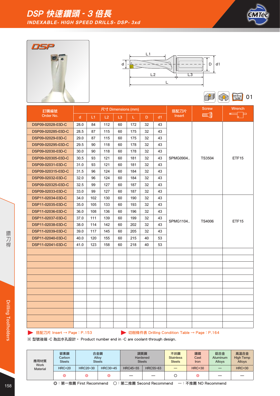







 $\bigcap$ Table 01

| 訂購編號               |              |     |     |    | 尺寸 Dimensions (mm) |    |    | 搭配刀片          | <b>Screw</b>  | Wrench            |
|--------------------|--------------|-----|-----|----|--------------------|----|----|---------------|---------------|-------------------|
| Order No.          | $\mathsf{d}$ | L1  | L2  | L3 | L.                 | D. | d1 | <b>Insert</b> | <b>FINDER</b> | 盯                 |
| DSP09-02028-03D-C  | 28.0         | 84  | 112 | 60 | 172                | 32 | 43 |               |               |                   |
| DSP09-020285-03D-C | 28.5         | 87  | 115 | 60 | 175                | 32 | 43 |               |               |                   |
| DSP09-02029-03D-C  | 29.0         | 87  | 115 | 60 | 175                | 32 | 43 |               |               |                   |
| DSP09-020295-03D-C | 29.5         | 90  | 118 | 60 | 178                | 32 | 43 |               |               |                   |
| DSP09-02030-03D-C  | 30.0         | 90  | 118 | 60 | 178                | 32 | 43 |               |               |                   |
| DSP09-020305-03D-C | 30.5         | 93  | 121 | 60 | 181                | 32 | 43 | SPMG0904      | <b>TS3504</b> | ETF <sub>15</sub> |
| DSP09-02031-03D-C  | 31.0         | 93  | 121 | 60 | 181                | 32 | 43 |               |               |                   |
| DSP09-020315-03D-C | 31.5         | 96  | 124 | 60 | 184                | 32 | 43 |               |               |                   |
| DSP09-02032-03D-C  | 32.0         | 96  | 124 | 60 | 184                | 32 | 43 |               |               |                   |
| DSP09-020325-03D-C | 32.5         | 99  | 127 | 60 | 187                | 32 | 43 |               |               |                   |
| DSP09-02033-03D-C  | 33.0         | 99  | 127 | 60 | 187                | 32 | 43 |               |               |                   |
| DSP11-02034-03D-C  | 34.0         | 102 | 130 | 60 | 190                | 32 | 43 |               |               |                   |
| DSP11-02035-03D-C  | 35.0         | 105 | 133 | 60 | 193                | 32 | 43 |               |               |                   |
| DSP11-02036-03D-C  | 36.0         | 108 | 136 | 60 | 196                | 32 | 43 |               |               |                   |
| DSP11-02037-03D-C  | 37.0         | 111 | 139 | 60 | 199                | 32 | 43 | SPMG1104      | <b>TS4006</b> | ETF <sub>15</sub> |
| DSP11-02038-03D-C  | 38.0         | 114 | 142 | 60 | 202                | 32 | 43 |               |               |                   |
| DSP11-02039-03D-C  | 39.0         | 117 | 145 | 60 | 205                | 32 | 43 |               |               |                   |
| DSP11-02040-03D-C  | 40.0         | 120 | 155 | 60 | 215                | 40 | 53 |               |               |                   |
| DSP11-02041-03D-C  | 41.0         | 123 | 158 | 60 | 218                | 40 | 53 |               |               |                   |
|                    |              |     |     |    |                    |    |    |               |               |                   |
|                    |              |     |     |    |                    |    |    |               |               |                   |
|                    |              |     |     |    |                    |    |    |               |               |                   |
|                    |              |     |     |    |                    |    |    |               |               |                   |
|                    |              |     |     |    |                    |    |    |               |               |                   |
|                    |              |     |     |    |                    |    |    |               |               |                   |
|                    |              |     |     |    |                    |    |    |               |               |                   |
|                    |              |     |     |    |                    |    |    |               |               |                   |
|                    |              |     |     |    |                    |    |    |               |               |                   |
|                    |              |     |     |    |                    |    |    |               |               |                   |
|                    |              |     |     |    |                    |    |    |               |               |                   |
|                    |              |     |     |    |                    |    |    |               |               |                   |

**▶ 搭配刀片 Insert → Page: P.153 <br>
■ 切削條件表 Drilling Condition Table → Page: P.164** 

| 應用材質<br>Work    | 碳素鋼<br>Carbon<br><b>Steels</b> | 合金鋼<br>Alloy<br><b>Steels</b> |          | 調質鋼<br>Hardened | <b>Steels</b> | 不銹鋼<br><b>Stainless</b><br><b>Steels</b> | 鑄鐵<br>Cast<br>Iron | 鋁合金<br><b>Aluminum</b><br>Alloys | 高溫合金<br><b>High Temp</b><br><b>Alloys</b> |
|-----------------|--------------------------------|-------------------------------|----------|-----------------|---------------|------------------------------------------|--------------------|----------------------------------|-------------------------------------------|
| <b>Material</b> | <b>HRC&lt;20</b>               | HRC20~30                      | HRC30~45 | HRC45~55        | HRC55~63      |                                          | <b>HRC&lt;30</b>   |                                  | <b>HRC&lt;30</b>                          |
|                 | ⊚                              | ⊚                             | ⊚        |                 | --            |                                          | ⊚                  |                                  |                                           |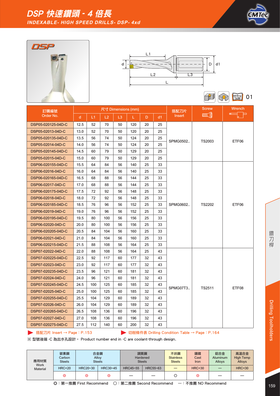







Milling 01 6R)

| 訂購編號               |              |     |     | 尺寸 Dimensions (mm) |     |    |    | 搭配刀片     | <b>Screw</b>  | Wrench |
|--------------------|--------------|-----|-----|--------------------|-----|----|----|----------|---------------|--------|
| Order No.          | $\mathsf{d}$ | L1  | L2  | L3                 | L.  | D. | d1 | Insert   | <b>ANDERS</b> |        |
| DSP05-020125-04D-C | 12.5         | 52  | 70  | 50                 | 120 | 20 | 25 |          |               |        |
| DSP05-02013-04D-C  | 13.0         | 52  | 70  | 50                 | 120 | 20 | 25 |          |               |        |
| DSP05-020135-04D-C | 13.5         | 56  | 74  | 50                 | 124 | 20 | 25 | SPMG0502 | TS2003        | ETF06  |
| DSP05-02014-04D-C  | 14.0         | 56  | 74  | 50                 | 124 | 20 | 25 |          |               |        |
| DSP05-020145-04D-C | 14.5         | 60  | 79  | 50                 | 129 | 20 | 25 |          |               |        |
| DSP05-02015-04D-C  | 15.0         | 60  | 79  | 50                 | 129 | 20 | 25 |          |               |        |
| DSP06-020155-04D-C | 15.5         | 64  | 84  | 56                 | 140 | 25 | 33 |          |               |        |
| DSP06-02016-04D-C  | 16.0         | 64  | 84  | 56                 | 140 | 25 | 33 |          |               |        |
| DSP06-020165-04D-C | 16.5         | 68  | 88  | 56                 | 144 | 25 | 33 |          |               |        |
| DSP06-02017-04D-C  | 17.0         | 68  | 88  | 56                 | 144 | 25 | 33 |          |               |        |
| DSP06-020175-04D-C | 17.5         | 72  | 92  | 56                 | 148 | 25 | 33 |          |               |        |
| DSP06-02018-04D-C  | 18.0         | 72  | 92  | 56                 | 148 | 25 | 33 |          |               |        |
| DSP06-020185-04D-C | 18.5         | 76  | 96  | 56                 | 152 | 25 | 33 | SPMG0602 | <b>TS2202</b> | ETF06  |
| DSP06-02019-04D-C  | 19.0         | 76  | 96  | 56                 | 152 | 25 | 33 |          |               |        |
| DSP06-020195-04D-C | 19.5         | 80  | 100 | 56                 | 156 | 25 | 33 |          |               |        |
| DSP06-02020-04D-C  | 20.0         | 80  | 100 | 56                 | 156 | 25 | 33 |          |               |        |
| DSP06-020205-04D-C | 20.5         | 84  | 104 | 56                 | 160 | 25 | 33 |          |               |        |
| DSP06-02021-04D-C  | 21.0         | 84  | 104 | 56                 | 160 | 25 | 33 |          |               |        |
| DSP06-020215-04D-C | 21.5         | 88  | 108 | 56                 | 164 | 25 | 33 |          |               |        |
| DSP07-02022-04D-C  | 22.0         | 88  | 108 | 56                 | 164 | 25 | 43 |          |               |        |
| DSP07-020225-04D-C | 22.5         | 92  | 117 | 60                 | 177 | 32 | 43 |          |               |        |
| DSP07-02023-04D-C  | 23.0         | 92  | 117 | 60                 | 177 | 32 | 43 |          |               |        |
| DSP07-020235-04D-C | 23.5         | 96  | 121 | 60                 | 181 | 32 | 43 |          |               |        |
| DSP07-02024-04D-C  | 24.0         | 96  | 121 | 60                 | 181 | 32 | 43 |          |               |        |
| DSP07-020245-04D-C | 24.5         | 100 | 125 | 60                 | 185 | 32 | 43 | SPMG07T3 | TS2511        | ETF08  |
| DSP07-02025-04D-C  | 25.0         | 100 | 125 | 60                 | 185 | 32 | 43 |          |               |        |
| DSP07-020255-04D-C | 25.5         | 104 | 129 | 60                 | 189 | 32 | 43 |          |               |        |
| DSP07-02026-04D-C  | 26.0         | 104 | 129 | 60                 | 189 | 32 | 43 |          |               |        |
| DSP07-020265-04D-C | 26.5         | 108 | 136 | 60                 | 196 | 32 | 43 |          |               |        |
| DSP07-02027-04D-C  | 27.0         | 108 | 136 | 60                 | 196 | 32 | 43 |          |               |        |
| DSP07-020275-04D-C | 27.5         | 112 | 140 | 60                 | 200 | 32 | 43 |          |               |        |

**▶ 搭配刀片 Insert → Page: P.153 <br>
■ 动削條件表 Drilling Condition Table → Page: P.164** 

| 應用材質<br><b>Work</b><br><b>Material</b>                                  | 碳素鋼<br>Carbon<br><b>Steels</b> | 合金鋼<br><b>Steels</b> | Alloy    |          | 調質鋼<br>Hardened<br><b>Steels</b> | 不銹鋼<br><b>Stainless</b><br><b>Steels</b> | 鑄鐵<br>Cast<br><b>Iron</b> | 鋁合金<br><b>Aluminum</b><br>Alloys | 高溫合金<br><b>High Temp</b><br><b>Alloys</b> |  |
|-------------------------------------------------------------------------|--------------------------------|----------------------|----------|----------|----------------------------------|------------------------------------------|---------------------------|----------------------------------|-------------------------------------------|--|
|                                                                         | <b>HRC&lt;20</b>               | HRC20~30             | HRC30~45 | HRC45~55 | HRC55~63                         |                                          | <b>HRC&lt;30</b>          |                                  | <b>HRC&lt;30</b>                          |  |
|                                                                         | ⊚                              | ⊚                    | ⊚        |          |                                  |                                          | ⊚                         |                                  |                                           |  |
| 〇:第二推薦 Second Recommend<br>◎:第一推薦 First Recommend<br>一:不推薦 NO Recommend |                                |                      |          |          |                                  |                                          |                           |                                  |                                           |  |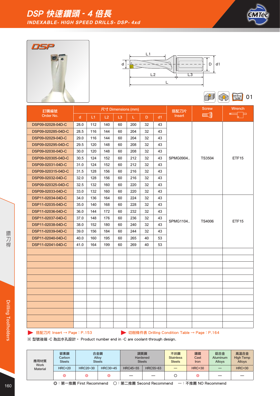







Milling 01 41

| 訂購編號               |              |     |     |    | 尺寸 Dimensions (mm) |    |    | 搭配刀片          | <b>Screw</b>   | Wrench            |
|--------------------|--------------|-----|-----|----|--------------------|----|----|---------------|----------------|-------------------|
| Order No.          | $\mathsf{d}$ | L1  | L2  | L3 | L.                 | D. | d1 | <b>Insert</b> | <b>MINICAL</b> | 盯                 |
| DSP09-02028-04D-C  | 28.0         | 112 | 140 | 60 | 200                | 32 | 43 |               |                |                   |
| DSP09-020285-04D-C | 28.5         | 116 | 144 | 60 | 204                | 32 | 43 |               |                |                   |
| DSP09-02029-04D-C  | 29.0         | 116 | 144 | 60 | 204                | 32 | 43 |               |                |                   |
| DSP09-020295-04D-C | 29.5         | 120 | 148 | 60 | 208                | 32 | 43 |               |                |                   |
| DSP09-02030-04D-C  | 30.0         | 120 | 148 | 60 | 208                | 32 | 43 |               |                |                   |
| DSP09-020305-04D-C | 30.5         | 124 | 152 | 60 | 212                | 32 | 43 | SPMG0904      | <b>TS3504</b>  | ETF <sub>15</sub> |
| DSP09-02031-04D-C  | 31.0         | 124 | 152 | 60 | 212                | 32 | 43 |               |                |                   |
| DSP09-020315-04D-C | 31.5         | 128 | 156 | 60 | 216                | 32 | 43 |               |                |                   |
| DSP09-02032-04D-C  | 32.0         | 128 | 156 | 60 | 216                | 32 | 43 |               |                |                   |
| DSP09-020325-04D-C | 32.5         | 132 | 160 | 60 | 220                | 32 | 43 |               |                |                   |
| DSP09-02033-04D-C  | 33.0         | 132 | 160 | 60 | 220                | 32 | 43 |               |                |                   |
| DSP11-02034-04D-C  | 34.0         | 136 | 164 | 60 | 224                | 32 | 43 |               |                |                   |
| DSP11-02035-04D-C  | 35.0         | 140 | 168 | 60 | 228                | 32 | 43 |               | <b>TS4006</b>  |                   |
| DSP11-02036-04D-C  | 36.0         | 144 | 172 | 60 | 232                | 32 | 43 |               |                |                   |
| DSP11-02037-04D-C  | 37.0         | 148 | 176 | 60 | 236                | 32 | 43 | SPMG1104      |                | ETF15             |
| DSP11-02038-04D-C  | 38.0         | 152 | 180 | 60 | 240                | 32 | 43 |               |                |                   |
| DSP11-02039-04D-C  | 39.0         | 156 | 184 | 60 | 244                | 32 | 43 |               |                |                   |
| DSP11-02040-04D-C  | 40.0         | 160 | 195 | 60 | 265                | 40 | 53 |               |                |                   |
| DSP11-02041-04D-C  | 41.0         | 164 | 199 | 60 | 269                | 40 | 53 |               |                |                   |
|                    |              |     |     |    |                    |    |    |               |                |                   |
|                    |              |     |     |    |                    |    |    |               |                |                   |
|                    |              |     |     |    |                    |    |    |               |                |                   |
|                    |              |     |     |    |                    |    |    |               |                |                   |
|                    |              |     |     |    |                    |    |    |               |                |                   |
|                    |              |     |     |    |                    |    |    |               |                |                   |
|                    |              |     |     |    |                    |    |    |               |                |                   |
|                    |              |     |     |    |                    |    |    |               |                |                   |
|                    |              |     |     |    |                    |    |    |               |                |                   |
|                    |              |     |     |    |                    |    |    |               |                |                   |
|                    |              |     |     |    |                    |    |    |               |                |                   |
|                    |              |     |     |    |                    |    |    |               |                |                   |

**▶ 搭配刀片 Insert → Page: P.153 <br>
■ 切削條件表 Drilling Condition Table → Page: P.164** 

※ 型號後端 -C 為出水孔設計。 Product number end in -C are coolant-through design.

| 應用材質<br><b>Work</b><br><b>Material</b> | 碳素鋼<br>Carbon<br><b>Steels</b> | 合金鋼<br>Alloy | <b>Steels</b> | 調質鋼<br>Hardened | <b>Steels</b> | 不銹鋼<br><b>Stainless</b><br><b>Steels</b> | 鑄鐵<br>Cast<br>Iron | 鋁合金<br>Aluminum<br>Alloys | 高溫合金<br><b>High Temp</b><br><b>Alloys</b> |
|----------------------------------------|--------------------------------|--------------|---------------|-----------------|---------------|------------------------------------------|--------------------|---------------------------|-------------------------------------------|
|                                        | <b>HRC&lt;20</b>               | HRC20~30     | HRC30~45      | HRC45~55        | HRC55~63      |                                          | <b>HRC&lt;30</b>   |                           | <b>HRC&lt;30</b>                          |
|                                        | ⊚                              | ⊚            | ⊚             |                 | _             |                                          | ◎                  |                           |                                           |

160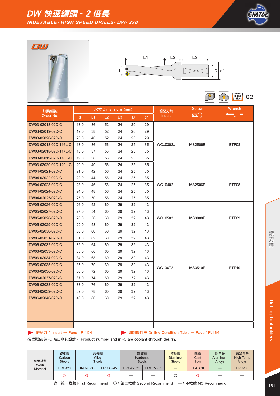









| 訂購編號                  |      |    |    | 尺寸 Dimensions (mm) |    |    | 搭配刀片          | <b>Screw</b>      | Wrench |
|-----------------------|------|----|----|--------------------|----|----|---------------|-------------------|--------|
| Order No.             | d.   | L1 | L2 | L3                 | D  | d1 | <b>Insert</b> | <b>MINITY (0)</b> |        |
| DW03-02018-02D-C      | 18.0 | 36 | 52 | 24                 | 20 | 29 |               |                   |        |
| DW03-02019-02D-C      | 19.0 | 38 | 52 | 24                 | 20 | 29 |               |                   |        |
| DW03-02020-02D-C      | 20.0 | 40 | 52 | 24                 | 20 | 29 |               |                   |        |
| DW03-02018-02D-116L-C | 18.0 | 36 | 56 | 24                 | 25 | 35 | WC0302        | <b>MS2506E</b>    | ETF08  |
| DW03-02018-02D-117L-C | 18.5 | 37 | 56 | 24                 | 25 | 35 |               |                   |        |
| DW03-02019-02D-118L-C | 19.0 | 38 | 56 | 24                 | 25 | 35 |               |                   |        |
| DW03-02020-02D-120L-C | 20.0 | 40 | 56 | 24                 | 25 | 35 |               |                   |        |
| DW04-02021-02D-C      | 21.0 | 42 | 56 | 24                 | 25 | 35 |               |                   |        |
| DW04-02022-02D-C      | 22.0 | 44 | 56 | 24                 | 25 | 35 |               |                   |        |
| DW04-02023-02D-C      | 23.0 | 46 | 56 | 24                 | 25 | 35 | WC0402        | <b>MS2506E</b>    | ETF08  |
| DW04-02024-02D-C      | 24.0 | 48 | 56 | 24                 | 25 | 35 |               |                   |        |
| DW04-02025-02D-C      | 25.0 | 50 | 56 | 24                 | 25 | 35 |               |                   |        |
| DW05-02026-02D-C      | 26.0 | 52 | 60 | 29                 | 32 | 43 |               |                   |        |
| DW05-02027-02D-C      | 27.0 | 54 | 60 | 29                 | 32 | 43 |               | <b>MS3008E</b>    |        |
| DW05-02028-02D-C      | 28.0 | 56 | 60 | 29                 | 32 | 43 | WC0503        |                   | ETF09  |
| DW05-02029-02D-C      | 29.0 | 58 | 60 | 29                 | 32 | 43 |               |                   |        |
| DW05-02030-02D-C      | 30.0 | 60 | 60 | 29                 | 32 | 43 |               |                   |        |
| DW06-02031-02D-C      | 31.0 | 62 | 60 | 29                 | 32 | 43 |               |                   |        |
| DW06-02032-02D-C      | 32.0 | 64 | 60 | 29                 | 32 | 43 |               |                   |        |
| DW06-02033-02D-C      | 33.0 | 66 | 60 | 29                 | 32 | 43 |               |                   |        |
| DW06-02034-02D-C      | 34.0 | 68 | 60 | 29                 | 32 | 43 |               |                   |        |
| DW06-02035-02D-C      | 35.0 | 70 | 60 | 29                 | 32 | 43 | WC06T3        | <b>MS3510E</b>    | ETF10  |
| DW06-02036-02D-C      | 36.0 | 72 | 60 | 29                 | 32 | 43 |               |                   |        |
| DW06-02037-02D-C      | 37.0 | 74 | 60 | 29                 | 32 | 43 |               |                   |        |
| DW06-02038-02D-C      | 38.0 | 76 | 60 | 29                 | 32 | 43 |               |                   |        |
| DW06-02039-02D-C      | 39.0 | 78 | 60 | 29                 | 32 | 43 |               |                   |        |
| DW06-02040-02D-C      | 40.0 | 80 | 60 | 29                 | 32 | 43 |               |                   |        |
|                       |      |    |    |                    |    |    |               |                   |        |
|                       |      |    |    |                    |    |    |               |                   |        |
|                       |      |    |    |                    |    |    |               |                   |        |
|                       |      |    |    |                    |    |    |               |                   |        |

**▶ 搭配刀片 Insert → Page: P.154 7 Page: P.154** 切削條件表 Drilling Condition Table → Page: P.164

| 應用材質<br><b>Work</b><br><b>Material</b> | 碳素鋼<br>Carbon<br><b>Steels</b> | <b>Steels</b> | 合金鋼<br>Alloy | <b>Steels</b> | 調質鋼<br>Hardened | 不銹鋼<br><b>Stainless</b><br><b>Steels</b> | 鑄鐵<br>Cast<br>Iron | 鋁合金<br><b>Aluminum</b><br>Alloys | 高溫合金<br><b>High Temp</b><br><b>Alloys</b> |
|----------------------------------------|--------------------------------|---------------|--------------|---------------|-----------------|------------------------------------------|--------------------|----------------------------------|-------------------------------------------|
|                                        | <b>HRC&lt;20</b>               | HRC20~30      | HRC30~45     | HRC45~55      | HRC55~63        |                                          | <b>HRC&lt;30</b>   |                                  | <b>HRC&lt;30</b>                          |
|                                        | ⊚                              | ⊚             | ⊚            | –             |                 |                                          | ◎                  |                                  |                                           |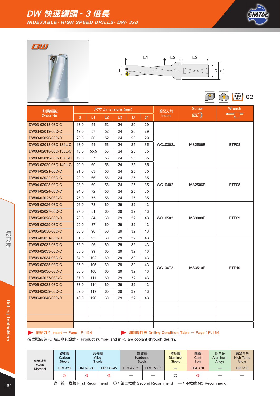







| 訂購編號                  |      |      |    | 尺寸 Dimensions (mm) |    |    | 搭配刀片          | <b>Screw</b>   | <b>Wrench</b>     |  |
|-----------------------|------|------|----|--------------------|----|----|---------------|----------------|-------------------|--|
| Order No.             | d.   | L1   | L2 | L3                 | D  | d1 | <b>Insert</b> | <b>ANDER</b>   | 臣                 |  |
| DW03-02018-03D-C      | 18.0 | 54   | 52 | 24                 | 20 | 29 |               |                |                   |  |
| DW03-02019-03D-C      | 19.0 | 57   | 52 | 24                 | 20 | 29 |               |                |                   |  |
| DW03-02020-03D-C      | 20.0 | 60   | 52 | 24                 | 20 | 29 |               |                |                   |  |
| DW03-02018-03D-134L-C | 18.0 | 54   | 56 | 24                 | 25 | 35 | WC0302        | <b>MS2506E</b> | ETF08             |  |
| DW03-02018-03D-135L-C | 18.5 | 55.5 | 56 | 24                 | 25 | 35 |               |                |                   |  |
| DW03-02019-03D-137L-C | 19.0 | 57   | 56 | 24                 | 25 | 35 |               |                |                   |  |
| DW03-02020-03D-140L-C | 20.0 | 60   | 56 | 24                 | 25 | 35 |               |                |                   |  |
| DW04-02021-03D-C      | 21.0 | 63   | 56 | 24                 | 25 | 35 |               |                |                   |  |
| DW04-02022-03D-C      | 22.0 | 66   | 56 | 24                 | 25 | 35 |               |                |                   |  |
| DW04-02023-03D-C      | 23.0 | 69   | 56 | 24                 | 25 | 35 | WC0402        | <b>MS2506E</b> | ETF08             |  |
| DW04-02024-03D-C      | 24.0 | 72   | 56 | 24                 | 25 | 35 |               |                |                   |  |
| DW04-02025-03D-C      | 25.0 | 75   | 56 | 24                 | 25 | 35 |               |                |                   |  |
| DW05-02026-03D-C      | 26.0 | 78   | 60 | 29                 | 32 | 43 |               |                |                   |  |
| DW05-02027-03D-C      | 27.0 | 81   | 60 | 29                 | 32 | 43 |               |                |                   |  |
| DW05-02028-03D-C      | 28.0 | 84   | 60 | 29                 | 32 | 43 | WC0503        | <b>MS3008E</b> | ETF09             |  |
| DW05-02029-03D-C      | 29.0 | 87   | 60 | 29                 | 32 | 43 |               |                |                   |  |
| DW05-02030-03D-C      | 30.0 | 90   | 60 | 29                 | 32 | 43 |               |                |                   |  |
| DW06-02031-03D-C      | 31.0 | 93   | 60 | 29                 | 32 | 43 |               |                |                   |  |
| DW06-02032-03D-C      | 32.0 | 96   | 60 | 29                 | 32 | 43 |               |                |                   |  |
| DW06-02033-03D-C      | 33.0 | 99   | 60 | 29                 | 32 | 43 |               |                |                   |  |
| DW06-02034-03D-C      | 34.0 | 102  | 60 | 29                 | 32 | 43 |               |                |                   |  |
| DW06-02035-03D-C      | 35.0 | 105  | 60 | 29                 | 32 | 43 | WC06T3        | <b>MS3510E</b> | ETF <sub>10</sub> |  |
| DW06-02036-03D-C      | 36.0 | 108  | 60 | 29                 | 32 | 43 |               |                |                   |  |
| DW06-02037-03D-C      | 37.0 | 111  | 60 | 29                 | 32 | 43 |               |                |                   |  |
| DW06-02038-03D-C      | 38.0 | 114  | 60 | 29                 | 32 | 43 |               |                |                   |  |
| DW06-02039-03D-C      | 39.0 | 117  | 60 | 29                 | 32 | 43 |               |                |                   |  |
| DW06-02040-03D-C      | 40.0 | 120  | 60 | 29                 | 32 | 43 |               |                |                   |  |
|                       |      |      |    |                    |    |    |               |                |                   |  |
|                       |      |      |    |                    |    |    |               |                |                   |  |
|                       |      |      |    |                    |    |    |               |                |                   |  |
|                       |      |      |    |                    |    |    |               |                |                   |  |

**▶ 搭配刀片 Insert → Page: P.154 7 Page: P.154** 切削條件表 Drilling Condition Table → Page: P.164

※ 型號後端 -C 為出水孔設計。 Product number end in -C are coolant-through design.

| 應用材質<br><b>Work</b> | 碳素鋼<br>Carbon<br><b>Steels</b> |          | 合金鋼<br>Alloy<br><b>Steels</b> |          | 調質鋼<br>Hardened<br><b>Steels</b> | 不銹鋼<br><b>Stainless</b><br><b>Steels</b> | 鑄鐵<br>Cast<br>Iron | 鋁合金<br><b>Aluminum</b><br><b>Allovs</b> | 高溫合金<br><b>High Temp</b><br><b>Alloys</b> |
|---------------------|--------------------------------|----------|-------------------------------|----------|----------------------------------|------------------------------------------|--------------------|-----------------------------------------|-------------------------------------------|
| <b>Material</b>     | <b>HRC&lt;20</b>               | HRC20~30 | HRC30~45                      | HRC45~55 | HRC55~63                         |                                          | <b>HRC&lt;30</b>   |                                         | <b>HRC&lt;30</b>                          |
|                     | ⊚                              | ⊚        | ⊚                             | —        | —                                |                                          | ⊚                  | –                                       |                                           |

◎:第一推薦 First Recommend ○:第二推薦 Second Recommend —:不推薦 NO Recommend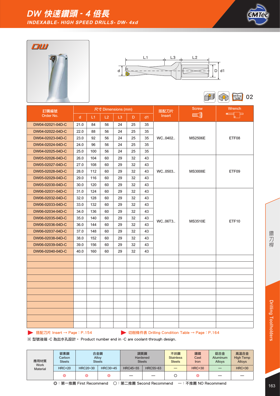









| 訂購編號             |              |     | 尺寸 Dimensions (mm) |    |    |    | 搭配刀片          | <b>Screw</b>   | Wrench       |
|------------------|--------------|-----|--------------------|----|----|----|---------------|----------------|--------------|
| Order No.        | <sub>d</sub> | L1  | L2                 | L3 | D. | d1 | <b>Insert</b> | <b>ANDERS</b>  | 二目           |
| DW04-02021-04D-C | 21.0         | 84  | 56                 | 24 | 25 | 35 |               |                |              |
| DW04-02022-04D-C | 22.0         | 88  | 56                 | 24 | 25 | 35 |               |                |              |
| DW04-02023-04D-C | 23.0         | 92  | 56                 | 24 | 25 | 35 | WC0402        | <b>MS2506E</b> | ETF08        |
| DW04-02024-04D-C | 24.0         | 96  | 56                 | 24 | 25 | 35 |               |                |              |
| DW04-02025-04D-C | 25.0         | 100 | 56                 | 24 | 25 | 35 |               |                |              |
| DW05-02026-04D-C | 26.0         | 104 | 60                 | 29 | 32 | 43 |               |                |              |
| DW05-02027-04D-C | 27.0         | 108 | 60                 | 29 | 32 | 43 |               |                |              |
| DW05-02028-04D-C | 28.0         | 112 | 60                 | 29 | 32 | 43 | WC0503        | <b>MS3008E</b> | ETF09        |
| DW05-02029-04D-C | 29.0         | 116 | 60                 | 29 | 32 | 43 |               |                |              |
| DW05-02030-04D-C | 30.0         | 120 | 60                 | 29 | 32 | 43 |               |                |              |
| DW06-02031-04D-C | 31.0         | 124 | 60                 | 29 | 32 | 43 |               |                |              |
| DW06-02032-04D-C | 32.0         | 128 | 60                 | 29 | 32 | 43 |               |                |              |
| DW06-02033-04D-C | 33.0         | 132 | 60                 | 29 | 32 | 43 |               |                |              |
| DW06-02034-04D-C | 34.0         | 136 | 60                 | 29 | 32 | 43 |               |                |              |
| DW06-02035-04D-C | 35.0         | 140 | 60                 | 29 | 32 | 43 | WC06T3        | <b>MS3510E</b> | <b>ETF10</b> |
| DW06-02036-04D-C | 36.0         | 144 | 60                 | 29 | 32 | 43 |               |                |              |
| DW06-02037-04D-C | 37.0         | 148 | 60                 | 29 | 32 | 43 |               |                |              |
| DW06-02038-04D-C | 38.0         | 152 | 60                 | 29 | 32 | 43 |               |                |              |
| DW06-02039-04D-C | 39.0         | 156 | 60                 | 29 | 32 | 43 |               |                |              |
| DW06-02040-04D-C | 40.0         | 160 | 60                 | 29 | 32 | 43 |               |                |              |
|                  |              |     |                    |    |    |    |               |                |              |
|                  |              |     |                    |    |    |    |               |                |              |
|                  |              |     |                    |    |    |    |               |                |              |
|                  |              |     |                    |    |    |    |               |                |              |
|                  |              |     |                    |    |    |    |               |                |              |
|                  |              |     |                    |    |    |    |               |                |              |
|                  |              |     |                    |    |    |    |               |                |              |
|                  |              |     |                    |    |    |    |               |                |              |
|                  |              |     |                    |    |    |    |               |                |              |
|                  |              |     |                    |    |    |    |               |                |              |
|                  |              |     |                    |    |    |    |               |                |              |

**▶ 搭配刀片 Insert → Page: P.154 7 Page: P.154** 切削條件表 Drilling Condition Table → Page: P.164

| 應用材質<br><b>Work</b><br><b>Material</b> | 碳素鋼<br>Carbon<br><b>Steels</b> | 合金鋼<br><b>Steels</b> | Alloy    | 調質鋼<br>Hardened<br><b>Steels</b> |          | 不銹鋼<br><b>Stainless</b><br><b>Steels</b> | 鑄鐵<br>Cast<br>Iron | 鋁合金<br><b>Aluminum</b><br>Alloys | 高溫合金<br><b>High Temp</b><br><b>Alloys</b> |
|----------------------------------------|--------------------------------|----------------------|----------|----------------------------------|----------|------------------------------------------|--------------------|----------------------------------|-------------------------------------------|
|                                        | <b>HRC&lt;20</b>               | HRC20~30             | HRC30~45 | HRC45~55                         | HRC55~63 |                                          | <b>HRC&lt;30</b>   |                                  | <b>HRC&lt;30</b>                          |
|                                        | ⊚                              | ⊚                    | ⊚        | –                                |          |                                          | ⊚                  |                                  |                                           |